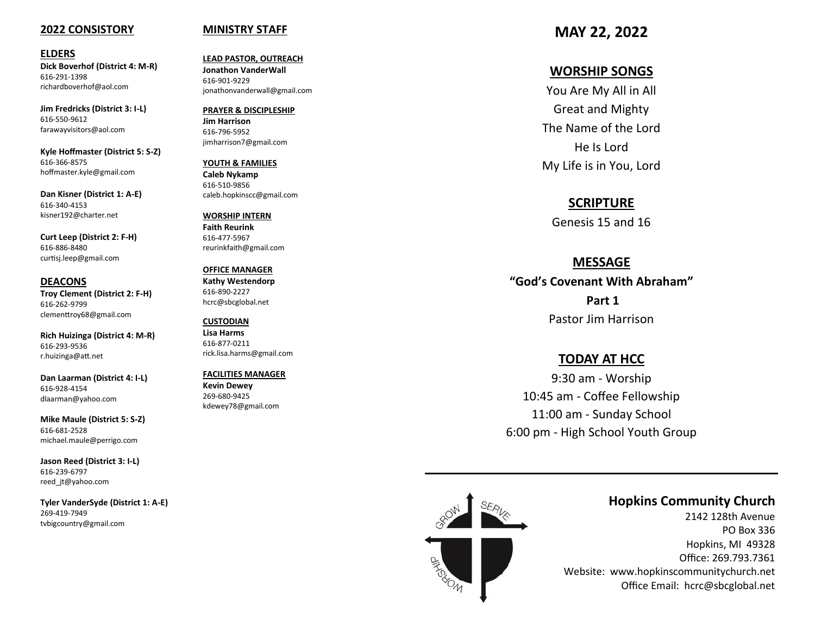#### **2022 CONSISTORY**

#### **ELDERS**

**Dick Boverhof (District 4: M -R)** 616 -291 -1398 richardboverhof@aol.com

**Jim Fredricks (District 3: I -L)** 616 -550 -9612 farawayvisitors@aol.com

**Kyle Hoffmaster (District 5: S -Z)** 616 -366 -8575 hoffmaster.kyle@gmail.com

**Dan Kisner (District 1: A -E)** 616 -340 -4153 kisner192@charter.net

**Curt Leep (District 2: F -H)** 616 -886 -8480 curtisj.leep@gmail.com

**DEACONS Troy Clement (District 2: F -H)** 616 -262 -9799 clementtroy68@gmail.com

**Rich Huizinga (District 4: M -R)** 616 -293 -9536 r.huizinga@att.net

**Dan Laarman (District 4: I -L)** 616 -928 -4154 dlaarman@yahoo.com

**Mike Maule (District 5: S -Z)** 616 -681 -2528 michael.maule@perrigo.com

**Jason Reed (District 3: I -L)** 616 -239 -6797 reed\_jt@yahoo.com

**Tyler VanderSyde (District 1: A -E)** 269 -419 -7949 tvbigcountry@gmail.com

#### **MINISTRY STAFF**

**LEAD PASTOR, OUTREACH Jonathon VanderWall**  616 -901 -9229 jonathonvanderwall@gmail.com

**PRAYER & DISCIPLESHIP Jim Harrison** 616 -796 -5952 jimharrison7@gmail.com

**YOUTH & FAMILIES Caleb Nykamp** 616 -510 -9856 caleb.hopkinscc@gmail.com

**WORSHIP INTERN Faith Reurink** 616 -477 -5967 reurinkfaith@gmail.com

**OFFICE MANAGER Kathy Westendorp** 616 -890 -2227 hcrc@sbcglobal.net

**CUSTODIAN Lisa Harms** 616 -877 -0211 rick.lisa.harms@gmail.com

**FACILITIES MANAGER Kevin Dewey** 269 -680 -9425 kdewey78@gmail.com

**MAY 22, 2022**

## **WORSHIP SONGS**

You Are My All in All Great and Mighty The Name of the Lord He Is Lord My Life is in You, Lord

### **SCRIPTURE**

Genesis 15 and 16

#### **MESSAGE**

**"God 's Covenant With Abraham" Part 1** Pastor Jim Harrison

### **TODAY AT HCC**

9:30 am - Worship 10:45 am - Coffee Fellowship 11:00 am - Sunday School 6:00 pm - High School Youth Group



## **Hopkins Community Church**

2142 128th Avenue PO Box 336 Hopkins, MI 49328 Office: 269.793.7361 Website: www.hopkinscommunitychurch.net Office Email: hcrc@sbcglobal.net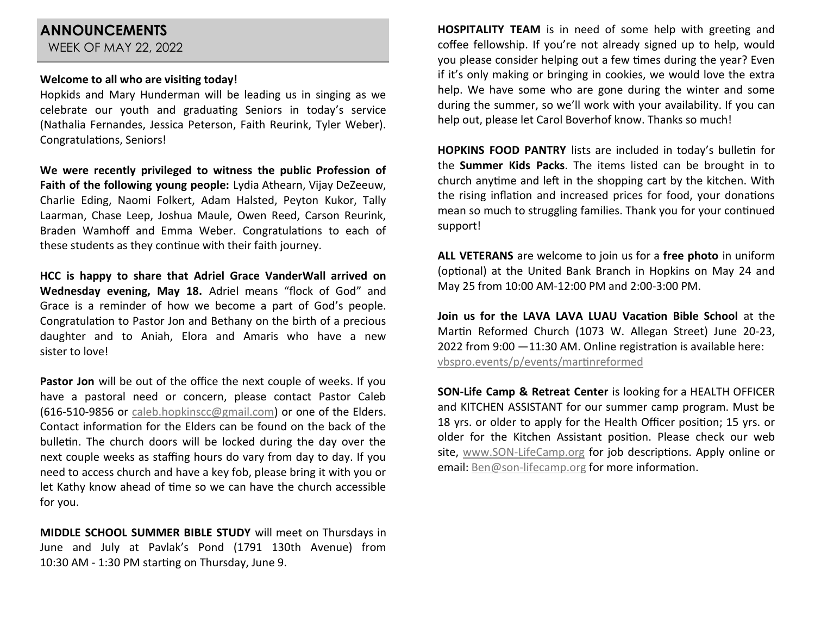## **ANNOUNCEMENTS** WEEK OF MAY 22, 2022

## **Welcome to all who are visiting today!**

Hopkids and Mary Hunderman will be leading us in singing as we celebrate our youth and graduating Seniors in today's service (Nathalia Fernandes, Jessica Peterson, Faith Reurink, Tyler Weber). Congratulations, Seniors!

**We were recently privileged to witness the public Profession of Faith of the following young people:** Lydia Athearn, Vijay DeZeeuw, Charlie Eding, Naomi Folkert, Adam Halsted, Peyton Kukor, Tally Laarman, Chase Leep, Joshua Maule, Owen Reed, Carson Reurink, Braden Wamhoff and Emma Weber. Congratulations to each of these students as they continue with their faith journey.

**HCC is happy to share that Adriel Grace VanderWall arrived on Wednesday evening, May 18.** Adriel means "flock of God" and Grace is a reminder of how we become a part of God's people. Congratulation to Pastor Jon and Bethany on the birth of a precious daughter and to Aniah, Elora and Amaris who have a new sister to love!

**Pastor Jon** will be out of the office the next couple of weeks. If you have a pastoral need or concern, please contact Pastor Caleb (616-510-9856 or [caleb.hopkinscc@gmail.com\)](mailto:caleb.hopkinscc@gmail.com) or one of the Elders. Contact information for the Elders can be found on the back of the bulletin. The church doors will be locked during the day over the next couple weeks as staffing hours do vary from day to day. If you need to access church and have a key fob, please bring it with you or let Kathy know ahead of time so we can have the church accessible for you.

**MIDDLE SCHOOL SUMMER BIBLE STUDY** will meet on Thursdays in June and July at Pavlak's Pond (1791 130th Avenue) from 10:30 AM - 1:30 PM starting on Thursday, June 9.

**HOSPITALITY TEAM** is in need of some help with greeting and coffee fellowship. If you're not already signed up to help, would you please consider helping out a few times during the year? Even if it's only making or bringing in cookies, we would love the extra help. We have some who are gone during the winter and some during the summer, so we'll work with your availability. If you can help out, please let Carol Boverhof know. Thanks so much!

**HOPKINS FOOD PANTRY** lists are included in today's bulletin for the **Summer Kids Packs**. The items listed can be brought in to church anytime and left in the shopping cart by the kitchen. With the rising inflation and increased prices for food, your donations mean so much to struggling families. Thank you for your continued support!

**ALL VETERANS** are welcome to join us for a **free photo** in uniform (optional) at the United Bank Branch in Hopkins on May 24 and May 25 from 10:00 AM-12:00 PM and 2:00-3:00 PM.

**Join us for the LAVA LAVA LUAU Vacation Bible School** at the Martin Reformed Church (1073 W. Allegan Street) June 20-23, 2022 from 9:00 —11:30 AM. Online registration is available here: [vbspro.events/p/events/martinreformed](https://vbspro.events/p/events/martinreformed)

**SON-Life Camp & Retreat Center** is looking for a HEALTH OFFICER and KITCHEN ASSISTANT for our summer camp program. Must be 18 yrs. or older to apply for the Health Officer position; 15 yrs. or older for the Kitchen Assistant position. Please check our web site, www.SON-[LifeCamp.org](http://www.SON-LifeCamp.org) for job descriptions. Apply online or email: Ben@son-[lifecamp.org](mailto:Ben@son-lifecamp.org) for more information.